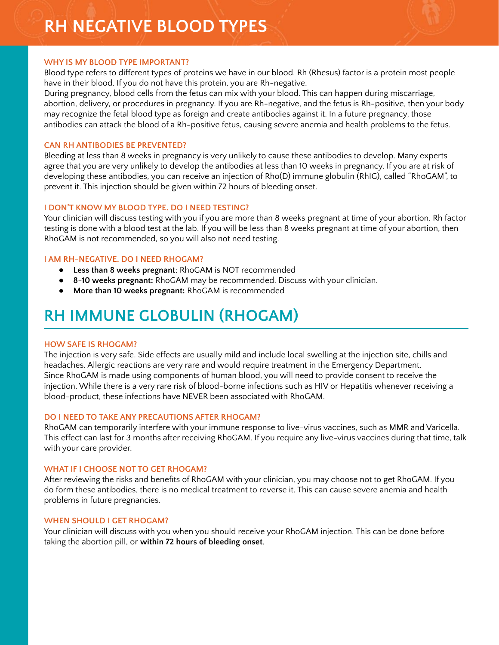# **RH NEGATIVE BLOOD TYPES**



Blood type refers to different types of proteins we have in our blood. Rh (Rhesus) factor is a protein most people have in their blood. If you do not have this protein, you are Rh-negative.

During pregnancy, blood cells from the fetus can mix with your blood. This can happen during miscarriage, abortion, delivery, or procedures in pregnancy. If you are Rh-negative, and the fetus is Rh-positive, then your body may recognize the fetal blood type as foreign and create antibodies against it. In a future pregnancy, those antibodies can attack the blood of a Rh-positive fetus, causing severe anemia and health problems to the fetus.

#### **CAN RH ANTIBODIES BE PREVENTED?**

Bleeding at less than 8 weeks in pregnancy is very unlikely to cause these antibodies to develop. Many experts agree that you are very unlikely to develop the antibodies at less than 10 weeks in pregnancy. If you are at risk of developing these antibodies, you can receive an injection of Rho(D) immune globulin (RhIG), called "RhoGAM", to prevent it. This injection should be given within 72 hours of bleeding onset.

#### **I DON'T KNOW MY BLOOD TYPE. DO I NEED TESTING?**

Your clinician will discuss testing with you if you are more than 8 weeks pregnant at time of your abortion. Rh factor testing is done with a blood test at the lab. If you will be less than 8 weeks pregnant at time of your abortion, then RhoGAM is not recommended, so you will also not need testing.

### **I AM RH-NEGATIVE. DO I NEED RHOGAM?**

- **Less than 8 weeks pregnant**: RhoGAM is NOT recommended
- **8-10 weeks pregnant:** RhoGAM may be recommended. Discuss with your clinician.
- **More than 10 weeks pregnant:** RhoGAM is recommended

## **RH IMMUNE GLOBULIN (RHOGAM)**

#### **HOW SAFE IS RHOGAM?**

The injection is very safe. Side effects are usually mild and include local swelling at the injection site, chills and headaches. Allergic reactions are very rare and would require treatment in the Emergency Department. Since RhoGAM is made using components of human blood, you will need to provide consent to receive the injection. While there is a very rare risk of blood-borne infections such as HIV or Hepatitis whenever receiving a blood-product, these infections have NEVER been associated with RhoGAM.

### **DO I NEED TO TAKE ANY PRECAUTIONS AFTER RHOGAM?**

RhoGAM can temporarily interfere with your immune response to live-virus vaccines, such as MMR and Varicella. This effect can last for 3 months after receiving RhoGAM. If you require any live-virus vaccines during that time, talk with your care provider.

#### **WHAT IF I CHOOSE NOT TO GET RHOGAM?**

After reviewing the risks and benefits of RhoGAM with your clinician, you may choose not to get RhoGAM. If you do form these antibodies, there is no medical treatment to reverse it. This can cause severe anemia and health problems in future pregnancies.

#### **WHEN SHOULD I GET RHOGAM?**

Your clinician will discuss with you when you should receive your RhoGAM injection. This can be done before taking the abortion pill, or **within 72 hours of bleeding onset**.